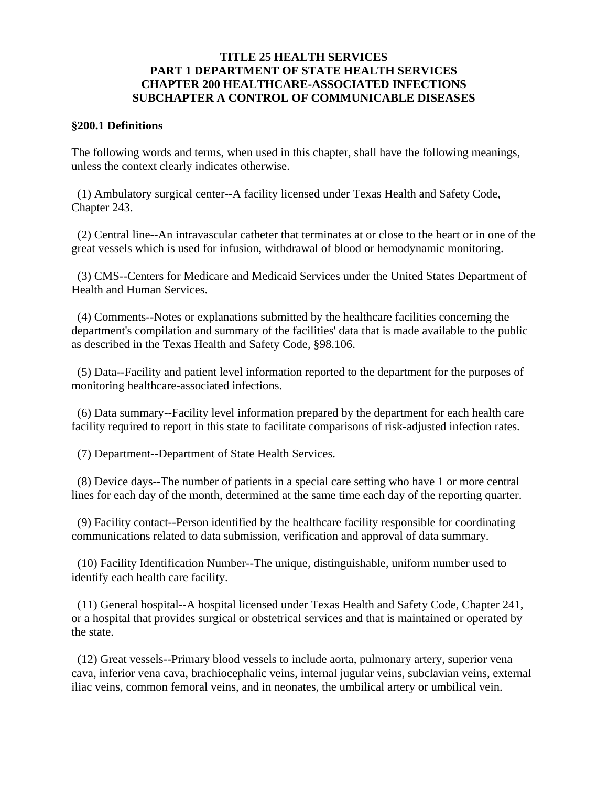### **TITLE 25 HEALTH SERVICES PART 1 DEPARTMENT OF STATE HEALTH SERVICES CHAPTER 200 HEALTHCARE-ASSOCIATED INFECTIONS SUBCHAPTER A CONTROL OF COMMUNICABLE DISEASES**

#### **§200.1 Definitions**

The following words and terms, when used in this chapter, shall have the following meanings, unless the context clearly indicates otherwise.

 (1) Ambulatory surgical center--A facility licensed under Texas Health and Safety Code, Chapter 243.

 (2) Central line--An intravascular catheter that terminates at or close to the heart or in one of the great vessels which is used for infusion, withdrawal of blood or hemodynamic monitoring.

 (3) CMS--Centers for Medicare and Medicaid Services under the United States Department of Health and Human Services.

 (4) Comments--Notes or explanations submitted by the healthcare facilities concerning the department's compilation and summary of the facilities' data that is made available to the public as described in the Texas Health and Safety Code, §98.106.

 (5) Data--Facility and patient level information reported to the department for the purposes of monitoring healthcare-associated infections.

 (6) Data summary--Facility level information prepared by the department for each health care facility required to report in this state to facilitate comparisons of risk-adjusted infection rates.

(7) Department--Department of State Health Services.

 (8) Device days--The number of patients in a special care setting who have 1 or more central lines for each day of the month, determined at the same time each day of the reporting quarter.

 (9) Facility contact--Person identified by the healthcare facility responsible for coordinating communications related to data submission, verification and approval of data summary.

 (10) Facility Identification Number--The unique, distinguishable, uniform number used to identify each health care facility.

 (11) General hospital--A hospital licensed under Texas Health and Safety Code, Chapter 241, or a hospital that provides surgical or obstetrical services and that is maintained or operated by the state.

 (12) Great vessels--Primary blood vessels to include aorta, pulmonary artery, superior vena cava, inferior vena cava, brachiocephalic veins, internal jugular veins, subclavian veins, external iliac veins, common femoral veins, and in neonates, the umbilical artery or umbilical vein.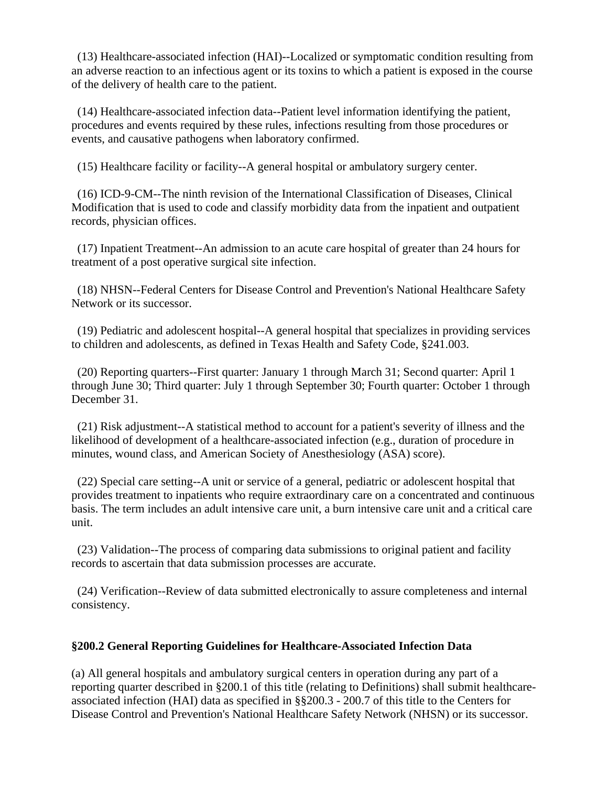(13) Healthcare-associated infection (HAI)--Localized or symptomatic condition resulting from an adverse reaction to an infectious agent or its toxins to which a patient is exposed in the course of the delivery of health care to the patient.

 (14) Healthcare-associated infection data--Patient level information identifying the patient, procedures and events required by these rules, infections resulting from those procedures or events, and causative pathogens when laboratory confirmed.

(15) Healthcare facility or facility--A general hospital or ambulatory surgery center.

 (16) ICD-9-CM--The ninth revision of the International Classification of Diseases, Clinical Modification that is used to code and classify morbidity data from the inpatient and outpatient records, physician offices.

 (17) Inpatient Treatment--An admission to an acute care hospital of greater than 24 hours for treatment of a post operative surgical site infection.

 (18) NHSN--Federal Centers for Disease Control and Prevention's National Healthcare Safety Network or its successor.

 (19) Pediatric and adolescent hospital--A general hospital that specializes in providing services to children and adolescents, as defined in Texas Health and Safety Code, §241.003.

 (20) Reporting quarters--First quarter: January 1 through March 31; Second quarter: April 1 through June 30; Third quarter: July 1 through September 30; Fourth quarter: October 1 through December 31.

 (21) Risk adjustment--A statistical method to account for a patient's severity of illness and the likelihood of development of a healthcare-associated infection (e.g., duration of procedure in minutes, wound class, and American Society of Anesthesiology (ASA) score).

 (22) Special care setting--A unit or service of a general, pediatric or adolescent hospital that provides treatment to inpatients who require extraordinary care on a concentrated and continuous basis. The term includes an adult intensive care unit, a burn intensive care unit and a critical care unit.

 (23) Validation--The process of comparing data submissions to original patient and facility records to ascertain that data submission processes are accurate.

 (24) Verification--Review of data submitted electronically to assure completeness and internal consistency.

# **§200.2 General Reporting Guidelines for Healthcare-Associated Infection Data**

(a) All general hospitals and ambulatory surgical centers in operation during any part of a reporting quarter described in §200.1 of this title (relating to Definitions) shall submit healthcareassociated infection (HAI) data as specified in §§200.3 - 200.7 of this title to the Centers for Disease Control and Prevention's National Healthcare Safety Network (NHSN) or its successor.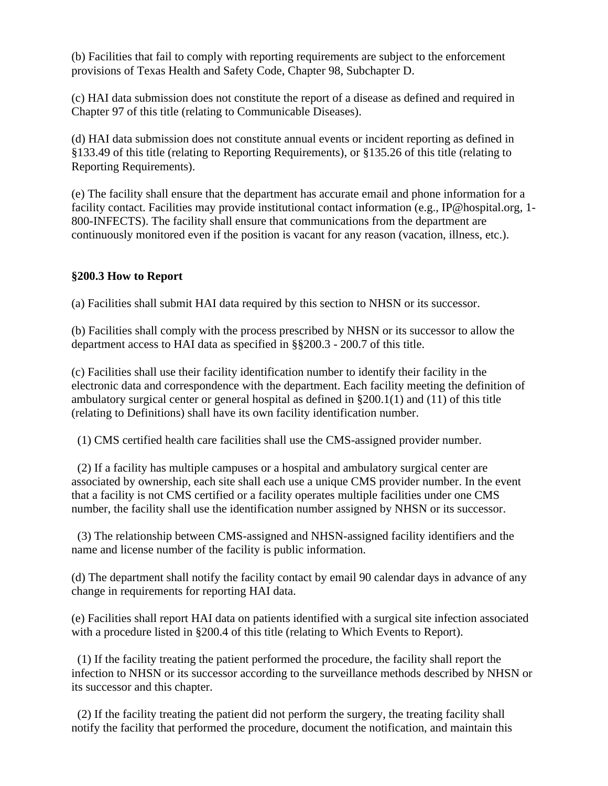(b) Facilities that fail to comply with reporting requirements are subject to the enforcement provisions of Texas Health and Safety Code, Chapter 98, Subchapter D.

(c) HAI data submission does not constitute the report of a disease as defined and required in Chapter 97 of this title (relating to Communicable Diseases).

(d) HAI data submission does not constitute annual events or incident reporting as defined in §133.49 of this title (relating to Reporting Requirements), or §135.26 of this title (relating to Reporting Requirements).

(e) The facility shall ensure that the department has accurate email and phone information for a facility contact. Facilities may provide institutional contact information (e.g., IP@hospital.org, 1- 800-INFECTS). The facility shall ensure that communications from the department are continuously monitored even if the position is vacant for any reason (vacation, illness, etc.).

# **§200.3 How to Report**

(a) Facilities shall submit HAI data required by this section to NHSN or its successor.

(b) Facilities shall comply with the process prescribed by NHSN or its successor to allow the department access to HAI data as specified in §§200.3 - 200.7 of this title.

(c) Facilities shall use their facility identification number to identify their facility in the electronic data and correspondence with the department. Each facility meeting the definition of ambulatory surgical center or general hospital as defined in §200.1(1) and (11) of this title (relating to Definitions) shall have its own facility identification number.

(1) CMS certified health care facilities shall use the CMS-assigned provider number.

 (2) If a facility has multiple campuses or a hospital and ambulatory surgical center are associated by ownership, each site shall each use a unique CMS provider number. In the event that a facility is not CMS certified or a facility operates multiple facilities under one CMS number, the facility shall use the identification number assigned by NHSN or its successor.

 (3) The relationship between CMS-assigned and NHSN-assigned facility identifiers and the name and license number of the facility is public information.

(d) The department shall notify the facility contact by email 90 calendar days in advance of any change in requirements for reporting HAI data.

(e) Facilities shall report HAI data on patients identified with a surgical site infection associated with a procedure listed in §200.4 of this title (relating to Which Events to Report).

 (1) If the facility treating the patient performed the procedure, the facility shall report the infection to NHSN or its successor according to the surveillance methods described by NHSN or its successor and this chapter.

 (2) If the facility treating the patient did not perform the surgery, the treating facility shall notify the facility that performed the procedure, document the notification, and maintain this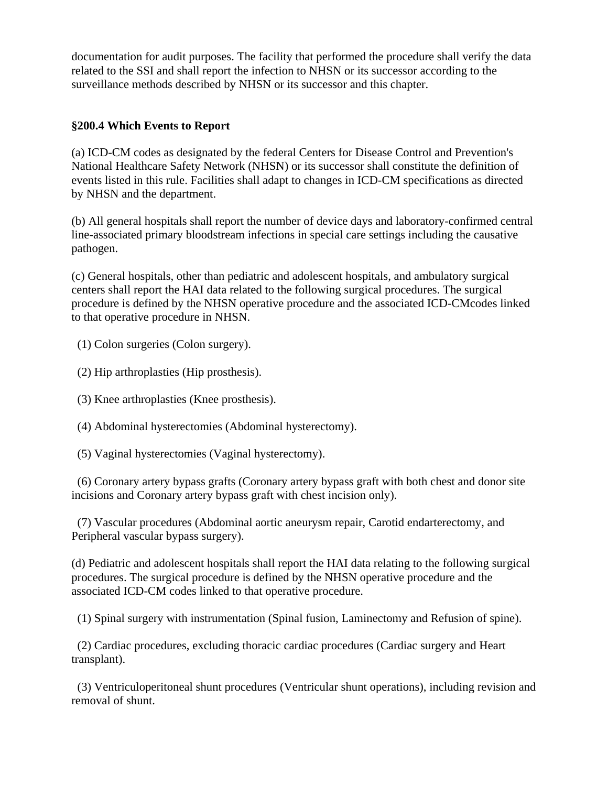documentation for audit purposes. The facility that performed the procedure shall verify the data related to the SSI and shall report the infection to NHSN or its successor according to the surveillance methods described by NHSN or its successor and this chapter.

## **§200.4 Which Events to Report**

(a) ICD-CM codes as designated by the federal Centers for Disease Control and Prevention's National Healthcare Safety Network (NHSN) or its successor shall constitute the definition of events listed in this rule. Facilities shall adapt to changes in ICD-CM specifications as directed by NHSN and the department.

(b) All general hospitals shall report the number of device days and laboratory-confirmed central line-associated primary bloodstream infections in special care settings including the causative pathogen.

(c) General hospitals, other than pediatric and adolescent hospitals, and ambulatory surgical centers shall report the HAI data related to the following surgical procedures. The surgical procedure is defined by the NHSN operative procedure and the associated ICD-CMcodes linked to that operative procedure in NHSN.

(1) Colon surgeries (Colon surgery).

(2) Hip arthroplasties (Hip prosthesis).

(3) Knee arthroplasties (Knee prosthesis).

(4) Abdominal hysterectomies (Abdominal hysterectomy).

(5) Vaginal hysterectomies (Vaginal hysterectomy).

 (6) Coronary artery bypass grafts (Coronary artery bypass graft with both chest and donor site incisions and Coronary artery bypass graft with chest incision only).

 (7) Vascular procedures (Abdominal aortic aneurysm repair, Carotid endarterectomy, and Peripheral vascular bypass surgery).

(d) Pediatric and adolescent hospitals shall report the HAI data relating to the following surgical procedures. The surgical procedure is defined by the NHSN operative procedure and the associated ICD-CM codes linked to that operative procedure.

(1) Spinal surgery with instrumentation (Spinal fusion, Laminectomy and Refusion of spine).

 (2) Cardiac procedures, excluding thoracic cardiac procedures (Cardiac surgery and Heart transplant).

 (3) Ventriculoperitoneal shunt procedures (Ventricular shunt operations), including revision and removal of shunt.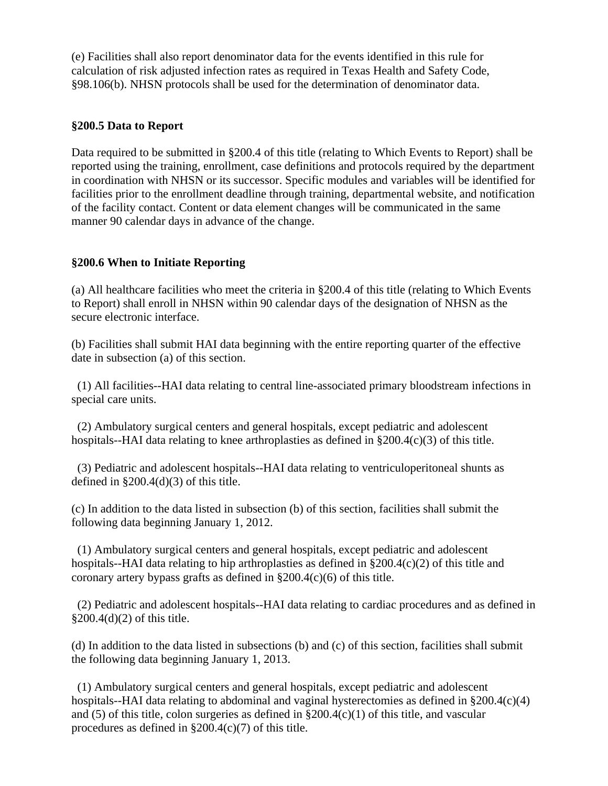(e) Facilities shall also report denominator data for the events identified in this rule for calculation of risk adjusted infection rates as required in Texas Health and Safety Code, §98.106(b). NHSN protocols shall be used for the determination of denominator data.

#### **§200.5 Data to Report**

Data required to be submitted in §200.4 of this title (relating to Which Events to Report) shall be reported using the training, enrollment, case definitions and protocols required by the department in coordination with NHSN or its successor. Specific modules and variables will be identified for facilities prior to the enrollment deadline through training, departmental website, and notification of the facility contact. Content or data element changes will be communicated in the same manner 90 calendar days in advance of the change.

### **§200.6 When to Initiate Reporting**

(a) All healthcare facilities who meet the criteria in §200.4 of this title (relating to Which Events to Report) shall enroll in NHSN within 90 calendar days of the designation of NHSN as the secure electronic interface.

(b) Facilities shall submit HAI data beginning with the entire reporting quarter of the effective date in subsection (a) of this section.

 (1) All facilities--HAI data relating to central line-associated primary bloodstream infections in special care units.

 (2) Ambulatory surgical centers and general hospitals, except pediatric and adolescent hospitals--HAI data relating to knee arthroplasties as defined in §200.4(c)(3) of this title.

 (3) Pediatric and adolescent hospitals--HAI data relating to ventriculoperitoneal shunts as defined in  $\S 200.4(d)(3)$  of this title.

(c) In addition to the data listed in subsection (b) of this section, facilities shall submit the following data beginning January 1, 2012.

 (1) Ambulatory surgical centers and general hospitals, except pediatric and adolescent hospitals--HAI data relating to hip arthroplasties as defined in §200.4(c)(2) of this title and coronary artery bypass grafts as defined in §200.4(c)(6) of this title.

 (2) Pediatric and adolescent hospitals--HAI data relating to cardiac procedures and as defined in §200.4(d)(2) of this title.

(d) In addition to the data listed in subsections (b) and (c) of this section, facilities shall submit the following data beginning January 1, 2013.

 (1) Ambulatory surgical centers and general hospitals, except pediatric and adolescent hospitals--HAI data relating to abdominal and vaginal hysterectomies as defined in §200.4(c)(4) and (5) of this title, colon surgeries as defined in  $\S 200.4(c)(1)$  of this title, and vascular procedures as defined in §200.4(c)(7) of this title.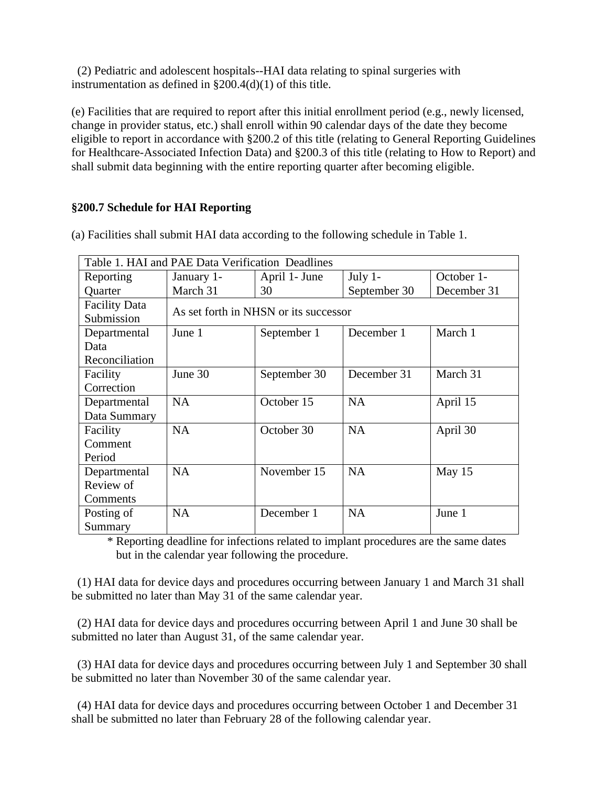(2) Pediatric and adolescent hospitals--HAI data relating to spinal surgeries with instrumentation as defined in §200.4(d)(1) of this title.

(e) Facilities that are required to report after this initial enrollment period (e.g., newly licensed, change in provider status, etc.) shall enroll within 90 calendar days of the date they become eligible to report in accordance with §200.2 of this title (relating to General Reporting Guidelines for Healthcare-Associated Infection Data) and §200.3 of this title (relating to How to Report) and shall submit data beginning with the entire reporting quarter after becoming eligible.

# **§200.7 Schedule for HAI Reporting**

| Table 1. HAI and PAE Data Verification Deadlines |                                       |               |              |             |
|--------------------------------------------------|---------------------------------------|---------------|--------------|-------------|
| Reporting                                        | January 1-                            | April 1- June | July $1$ -   | October 1-  |
| Quarter                                          | March 31                              | 30            | September 30 | December 31 |
| <b>Facility Data</b>                             | As set forth in NHSN or its successor |               |              |             |
| Submission                                       |                                       |               |              |             |
| Departmental                                     | June 1                                | September 1   | December 1   | March 1     |
| Data                                             |                                       |               |              |             |
| Reconciliation                                   |                                       |               |              |             |
| Facility                                         | June 30                               | September 30  | December 31  | March 31    |
| Correction                                       |                                       |               |              |             |
| Departmental                                     | NA                                    | October 15    | <b>NA</b>    | April 15    |
| Data Summary                                     |                                       |               |              |             |
| Facility                                         | NA                                    | October 30    | <b>NA</b>    | April 30    |
| Comment                                          |                                       |               |              |             |
| Period                                           |                                       |               |              |             |
| Departmental                                     | <b>NA</b>                             | November 15   | <b>NA</b>    | May $15$    |
| Review of                                        |                                       |               |              |             |
| Comments                                         |                                       |               |              |             |
| Posting of                                       | <b>NA</b>                             | December 1    | <b>NA</b>    | June 1      |
| Summary                                          |                                       |               |              |             |

(a) Facilities shall submit HAI data according to the following schedule in Table 1.

\* Reporting deadline for infections related to implant procedures are the same dates but in the calendar year following the procedure.

 (1) HAI data for device days and procedures occurring between January 1 and March 31 shall be submitted no later than May 31 of the same calendar year.

 (2) HAI data for device days and procedures occurring between April 1 and June 30 shall be submitted no later than August 31, of the same calendar year.

 (3) HAI data for device days and procedures occurring between July 1 and September 30 shall be submitted no later than November 30 of the same calendar year.

 (4) HAI data for device days and procedures occurring between October 1 and December 31 shall be submitted no later than February 28 of the following calendar year.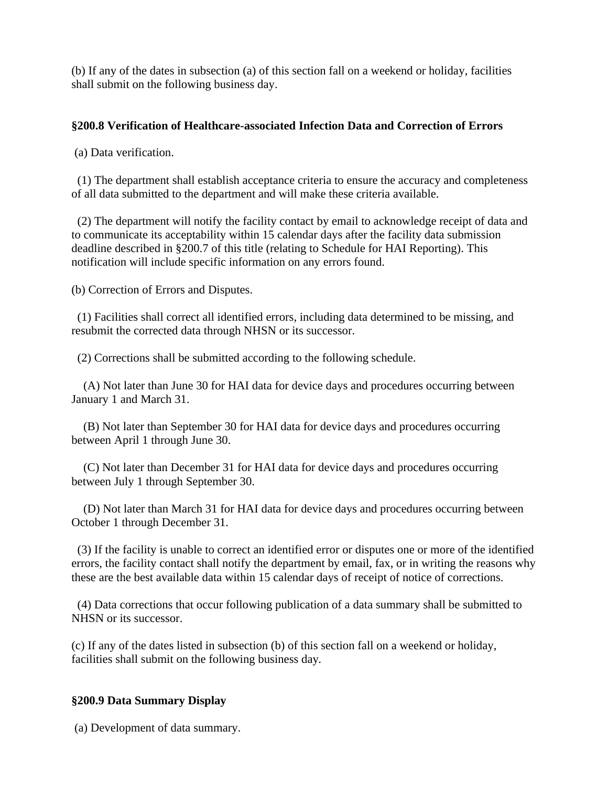(b) If any of the dates in subsection (a) of this section fall on a weekend or holiday, facilities shall submit on the following business day.

### **§200.8 Verification of Healthcare-associated Infection Data and Correction of Errors**

(a) Data verification.

 (1) The department shall establish acceptance criteria to ensure the accuracy and completeness of all data submitted to the department and will make these criteria available.

 (2) The department will notify the facility contact by email to acknowledge receipt of data and to communicate its acceptability within 15 calendar days after the facility data submission deadline described in §200.7 of this title (relating to Schedule for HAI Reporting). This notification will include specific information on any errors found.

(b) Correction of Errors and Disputes.

 (1) Facilities shall correct all identified errors, including data determined to be missing, and resubmit the corrected data through NHSN or its successor.

(2) Corrections shall be submitted according to the following schedule.

 (A) Not later than June 30 for HAI data for device days and procedures occurring between January 1 and March 31.

 (B) Not later than September 30 for HAI data for device days and procedures occurring between April 1 through June 30.

 (C) Not later than December 31 for HAI data for device days and procedures occurring between July 1 through September 30.

 (D) Not later than March 31 for HAI data for device days and procedures occurring between October 1 through December 31.

 (3) If the facility is unable to correct an identified error or disputes one or more of the identified errors, the facility contact shall notify the department by email, fax, or in writing the reasons why these are the best available data within 15 calendar days of receipt of notice of corrections.

 (4) Data corrections that occur following publication of a data summary shall be submitted to NHSN or its successor.

(c) If any of the dates listed in subsection (b) of this section fall on a weekend or holiday, facilities shall submit on the following business day.

#### **§200.9 Data Summary Display**

(a) Development of data summary.